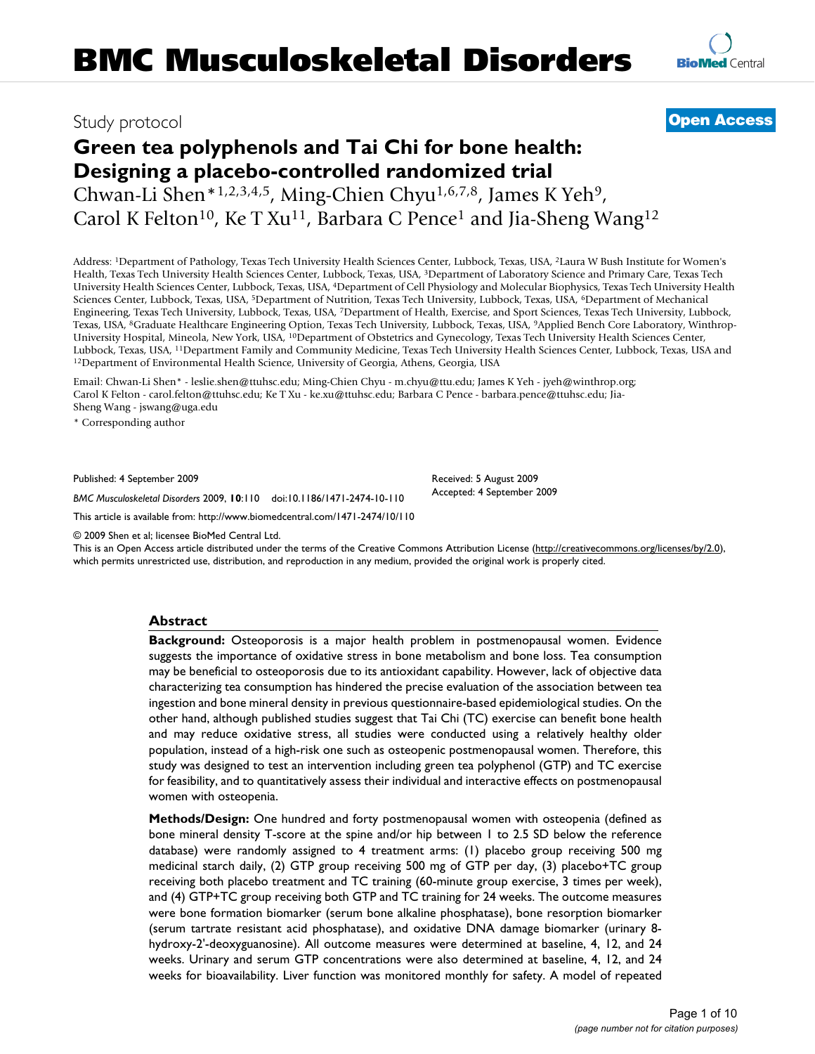# Study protocol

# **Green tea polyphenols and Tai Chi for bone health: Designing a placebo-controlled randomized trial**

Chwan-Li Shen\*1,2,3,4,5, Ming-Chien Chyu1,6,7,8, James K Yeh9, Carol K Felton<sup>10</sup>, Ke T Xu<sup>11</sup>, Barbara C Pence<sup>1</sup> and Jia-Sheng Wang<sup>12</sup>

Address: 1Department of Pathology, Texas Tech University Health Sciences Center, Lubbock, Texas, USA, 2Laura W Bush Institute for Women's Health, Texas Tech University Health Sciences Center, Lubbock, Texas, USA, 3Department of Laboratory Science and Primary Care, Texas Tech University Health Sciences Center, Lubbock, Texas, USA, 4Department of Cell Physiology and Molecular Biophysics, Texas Tech University Health Sciences Center, Lubbock, Texas, USA, 5Department of Nutrition, Texas Tech University, Lubbock, Texas, USA, 6Department of Mechanical Engineering, Texas Tech University, Lubbock, Texas, USA, 7Department of Health, Exercise, and Sport Sciences, Texas Tech University, Lubbock, Texas, USA, 8Graduate Healthcare Engineering Option, Texas Tech University, Lubbock, Texas, USA, 9Applied Bench Core Laboratory, Winthrop-University Hospital, Mineola, New York, USA, 10Department of Obstetrics and Gynecology, Texas Tech University Health Sciences Center, Lubbock, Texas, USA, <sup>11</sup>Department Family and Community Medicine, Texas Tech University Health Sciences Center, Lubbock, Texas, USA and <sup>12</sup>Department of Environmental Health Science, University of Georgia, Athens, Georgi

Email: Chwan-Li Shen\* - leslie.shen@ttuhsc.edu; Ming-Chien Chyu - m.chyu@ttu.edu; James K Yeh - jyeh@winthrop.org; Carol K Felton - carol.felton@ttuhsc.edu; Ke T Xu - ke.xu@ttuhsc.edu; Barbara C Pence - barbara.pence@ttuhsc.edu; Jia-Sheng Wang - jswang@uga.edu

\* Corresponding author

Published: 4 September 2009

*BMC Musculoskeletal Disorders* 2009, **10**:110 doi:10.1186/1471-2474-10-110

[This article is available from: http://www.biomedcentral.com/1471-2474/10/110](http://www.biomedcentral.com/1471-2474/10/110)

© 2009 Shen et al; licensee BioMed Central Ltd.

This is an Open Access article distributed under the terms of the Creative Commons Attribution License [\(http://creativecommons.org/licenses/by/2.0\)](http://creativecommons.org/licenses/by/2.0), which permits unrestricted use, distribution, and reproduction in any medium, provided the original work is properly cited.

#### **Abstract**

**Background:** Osteoporosis is a major health problem in postmenopausal women. Evidence suggests the importance of oxidative stress in bone metabolism and bone loss. Tea consumption may be beneficial to osteoporosis due to its antioxidant capability. However, lack of objective data characterizing tea consumption has hindered the precise evaluation of the association between tea ingestion and bone mineral density in previous questionnaire-based epidemiological studies. On the other hand, although published studies suggest that Tai Chi (TC) exercise can benefit bone health and may reduce oxidative stress, all studies were conducted using a relatively healthy older population, instead of a high-risk one such as osteopenic postmenopausal women. Therefore, this study was designed to test an intervention including green tea polyphenol (GTP) and TC exercise for feasibility, and to quantitatively assess their individual and interactive effects on postmenopausal women with osteopenia.

**Methods/Design:** One hundred and forty postmenopausal women with osteopenia (defined as bone mineral density T-score at the spine and/or hip between 1 to 2.5 SD below the reference database) were randomly assigned to 4 treatment arms: (1) placebo group receiving 500 mg medicinal starch daily, (2) GTP group receiving 500 mg of GTP per day, (3) placebo+TC group receiving both placebo treatment and TC training (60-minute group exercise, 3 times per week), and (4) GTP+TC group receiving both GTP and TC training for 24 weeks. The outcome measures were bone formation biomarker (serum bone alkaline phosphatase), bone resorption biomarker (serum tartrate resistant acid phosphatase), and oxidative DNA damage biomarker (urinary 8 hydroxy-2'-deoxyguanosine). All outcome measures were determined at baseline, 4, 12, and 24 weeks. Urinary and serum GTP concentrations were also determined at baseline, 4, 12, and 24 weeks for bioavailability. Liver function was monitored monthly for safety. A model of repeated



**[Open Access](http://www.biomedcentral.com/info/about/charter/)**

Received: 5 August 2009 Accepted: 4 September 2009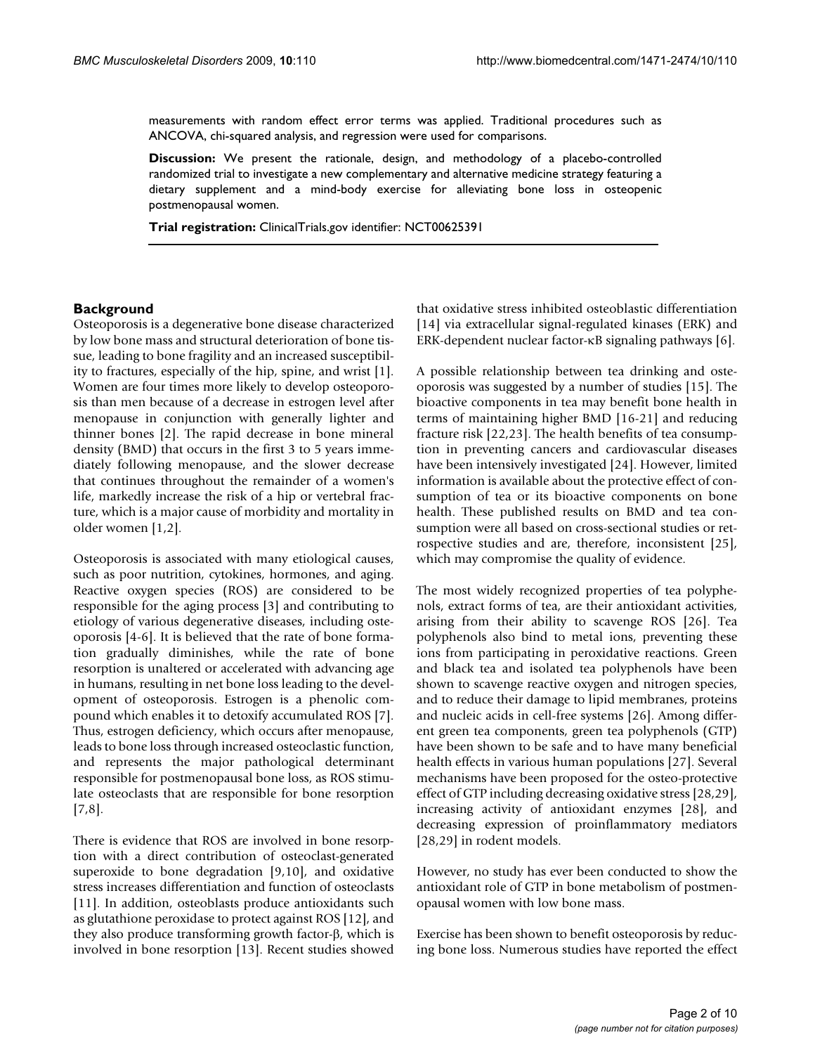measurements with random effect error terms was applied. Traditional procedures such as ANCOVA, chi-squared analysis, and regression were used for comparisons.

**Discussion:** We present the rationale, design, and methodology of a placebo-controlled randomized trial to investigate a new complementary and alternative medicine strategy featuring a dietary supplement and a mind-body exercise for alleviating bone loss in osteopenic postmenopausal women.

**Trial registration:** ClinicalTrials.gov identifier: NCT00625391

#### **Background**

Osteoporosis is a degenerative bone disease characterized by low bone mass and structural deterioration of bone tissue, leading to bone fragility and an increased susceptibility to fractures, especially of the hip, spine, and wrist [[1](#page-7-0)]. Women are four times more likely to develop osteoporosis than men because of a decrease in estrogen level after menopause in conjunction with generally lighter and thinner bones [\[2\]](#page-7-1). The rapid decrease in bone mineral density (BMD) that occurs in the first 3 to 5 years immediately following menopause, and the slower decrease that continues throughout the remainder of a women's life, markedly increase the risk of a hip or vertebral fracture, which is a major cause of morbidity and mortality in older women [\[1](#page-7-0)[,2\]](#page-7-1).

Osteoporosis is associated with many etiological causes, such as poor nutrition, cytokines, hormones, and aging. Reactive oxygen species (ROS) are considered to be responsible for the aging process [[3](#page-7-2)] and contributing to etiology of various degenerative diseases, including osteoporosis [[4](#page-7-3)[-6\]](#page-7-4). It is believed that the rate of bone formation gradually diminishes, while the rate of bone resorption is unaltered or accelerated with advancing age in humans, resulting in net bone loss leading to the development of osteoporosis. Estrogen is a phenolic compound which enables it to detoxify accumulated ROS [[7](#page-7-5)]. Thus, estrogen deficiency, which occurs after menopause, leads to bone loss through increased osteoclastic function, and represents the major pathological determinant responsible for postmenopausal bone loss, as ROS stimulate osteoclasts that are responsible for bone resorption [[7](#page-7-5)[,8\]](#page-7-6).

There is evidence that ROS are involved in bone resorption with a direct contribution of osteoclast-generated superoxide to bone degradation [\[9](#page-7-7)[,10](#page-7-8)], and oxidative stress increases differentiation and function of osteoclasts [[11](#page-7-9)]. In addition, osteoblasts produce antioxidants such as glutathione peroxidase to protect against ROS [\[12](#page-7-10)], and they also produce transforming growth factor-β, which is involved in bone resorption [[13\]](#page-7-11). Recent studies showed that oxidative stress inhibited osteoblastic differentiation [[14](#page-7-12)] via extracellular signal-regulated kinases (ERK) and ERK-dependent nuclear factor-κB signaling pathways [\[6\]](#page-7-4).

A possible relationship between tea drinking and osteoporosis was suggested by a number of studies [[15\]](#page-8-0). The bioactive components in tea may benefit bone health in terms of maintaining higher BMD [\[16](#page-8-1)[-21](#page-8-2)] and reducing fracture risk [\[22](#page-8-3)[,23](#page-8-4)]. The health benefits of tea consumption in preventing cancers and cardiovascular diseases have been intensively investigated [[24\]](#page-8-5). However, limited information is available about the protective effect of consumption of tea or its bioactive components on bone health. These published results on BMD and tea consumption were all based on cross-sectional studies or retrospective studies and are, therefore, inconsistent [\[25](#page-8-6)], which may compromise the quality of evidence.

The most widely recognized properties of tea polyphenols, extract forms of tea, are their antioxidant activities, arising from their ability to scavenge ROS [[26\]](#page-8-7). Tea polyphenols also bind to metal ions, preventing these ions from participating in peroxidative reactions. Green and black tea and isolated tea polyphenols have been shown to scavenge reactive oxygen and nitrogen species, and to reduce their damage to lipid membranes, proteins and nucleic acids in cell-free systems [[26\]](#page-8-7). Among different green tea components, green tea polyphenols (GTP) have been shown to be safe and to have many beneficial health effects in various human populations [\[27](#page-8-8)]. Several mechanisms have been proposed for the osteo-protective effect of GTP including decreasing oxidative stress [[28,](#page-8-9)[29](#page-8-10)], increasing activity of antioxidant enzymes [[28\]](#page-8-9), and decreasing expression of proinflammatory mediators [[28](#page-8-9),[29\]](#page-8-10) in rodent models.

However, no study has ever been conducted to show the antioxidant role of GTP in bone metabolism of postmenopausal women with low bone mass.

Exercise has been shown to benefit osteoporosis by reducing bone loss. Numerous studies have reported the effect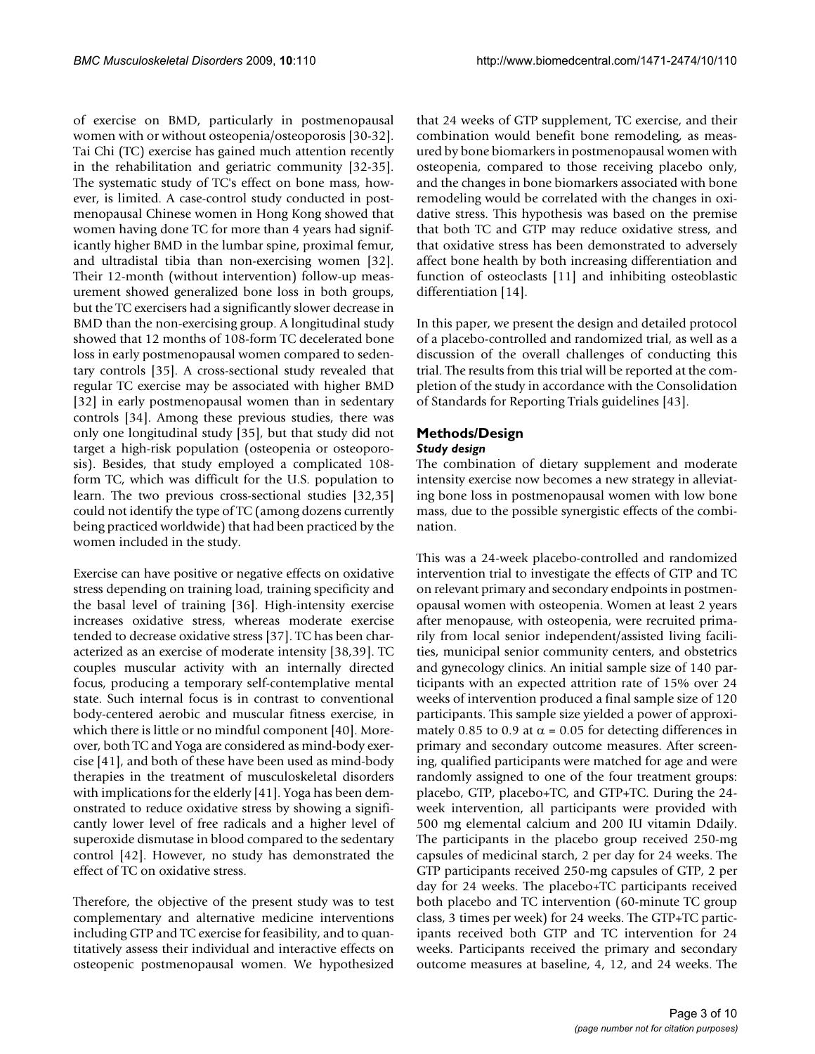of exercise on BMD, particularly in postmenopausal women with or without osteopenia/osteoporosis [\[30](#page-8-11)[-32](#page-8-12)]. Tai Chi (TC) exercise has gained much attention recently in the rehabilitation and geriatric community [\[32](#page-8-12)[-35](#page-8-13)]. The systematic study of TC's effect on bone mass, however, is limited. A case-control study conducted in postmenopausal Chinese women in Hong Kong showed that women having done TC for more than 4 years had significantly higher BMD in the lumbar spine, proximal femur, and ultradistal tibia than non-exercising women [\[32](#page-8-12)]. Their 12-month (without intervention) follow-up measurement showed generalized bone loss in both groups, but the TC exercisers had a significantly slower decrease in BMD than the non-exercising group. A longitudinal study showed that 12 months of 108-form TC decelerated bone loss in early postmenopausal women compared to sedentary controls [\[35\]](#page-8-13). A cross-sectional study revealed that regular TC exercise may be associated with higher BMD [[32](#page-8-12)] in early postmenopausal women than in sedentary controls [\[34\]](#page-8-14). Among these previous studies, there was only one longitudinal study [\[35](#page-8-13)], but that study did not target a high-risk population (osteopenia or osteoporosis). Besides, that study employed a complicated 108 form TC, which was difficult for the U.S. population to learn. The two previous cross-sectional studies [[32](#page-8-12),[35\]](#page-8-13) could not identify the type of TC (among dozens currently being practiced worldwide) that had been practiced by the women included in the study.

Exercise can have positive or negative effects on oxidative stress depending on training load, training specificity and the basal level of training [\[36](#page-8-15)]. High-intensity exercise increases oxidative stress, whereas moderate exercise tended to decrease oxidative stress [\[37\]](#page-8-16). TC has been characterized as an exercise of moderate intensity [\[38](#page-8-17),[39\]](#page-8-18). TC couples muscular activity with an internally directed focus, producing a temporary self-contemplative mental state. Such internal focus is in contrast to conventional body-centered aerobic and muscular fitness exercise, in which there is little or no mindful component [\[40\]](#page-8-19). Moreover, both TC and Yoga are considered as mind-body exercise [\[41](#page-8-20)], and both of these have been used as mind-body therapies in the treatment of musculoskeletal disorders with implications for the elderly [\[41](#page-8-20)]. Yoga has been demonstrated to reduce oxidative stress by showing a significantly lower level of free radicals and a higher level of superoxide dismutase in blood compared to the sedentary control [\[42](#page-8-21)]. However, no study has demonstrated the effect of TC on oxidative stress.

Therefore, the objective of the present study was to test complementary and alternative medicine interventions including GTP and TC exercise for feasibility, and to quantitatively assess their individual and interactive effects on osteopenic postmenopausal women. We hypothesized

that 24 weeks of GTP supplement, TC exercise, and their combination would benefit bone remodeling, as measured by bone biomarkers in postmenopausal women with osteopenia, compared to those receiving placebo only, and the changes in bone biomarkers associated with bone remodeling would be correlated with the changes in oxidative stress. This hypothesis was based on the premise that both TC and GTP may reduce oxidative stress, and that oxidative stress has been demonstrated to adversely affect bone health by both increasing differentiation and function of osteoclasts [[11\]](#page-7-9) and inhibiting osteoblastic differentiation [[14\]](#page-7-12).

In this paper, we present the design and detailed protocol of a placebo-controlled and randomized trial, as well as a discussion of the overall challenges of conducting this trial. The results from this trial will be reported at the completion of the study in accordance with the Consolidation of Standards for Reporting Trials guidelines [\[43](#page-8-22)].

# **Methods/Design**

# *Study design*

The combination of dietary supplement and moderate intensity exercise now becomes a new strategy in alleviating bone loss in postmenopausal women with low bone mass, due to the possible synergistic effects of the combination.

This was a 24-week placebo-controlled and randomized intervention trial to investigate the effects of GTP and TC on relevant primary and secondary endpoints in postmenopausal women with osteopenia. Women at least 2 years after menopause, with osteopenia, were recruited primarily from local senior independent/assisted living facilities, municipal senior community centers, and obstetrics and gynecology clinics. An initial sample size of 140 participants with an expected attrition rate of 15% over 24 weeks of intervention produced a final sample size of 120 participants. This sample size yielded a power of approximately 0.85 to 0.9 at  $\alpha$  = 0.05 for detecting differences in primary and secondary outcome measures. After screening, qualified participants were matched for age and were randomly assigned to one of the four treatment groups: placebo, GTP, placebo+TC, and GTP+TC. During the 24 week intervention, all participants were provided with 500 mg elemental calcium and 200 IU vitamin Ddaily. The participants in the placebo group received 250-mg capsules of medicinal starch, 2 per day for 24 weeks. The GTP participants received 250-mg capsules of GTP, 2 per day for 24 weeks. The placebo+TC participants received both placebo and TC intervention (60-minute TC group class, 3 times per week) for 24 weeks. The GTP+TC participants received both GTP and TC intervention for 24 weeks. Participants received the primary and secondary outcome measures at baseline, 4, 12, and 24 weeks. The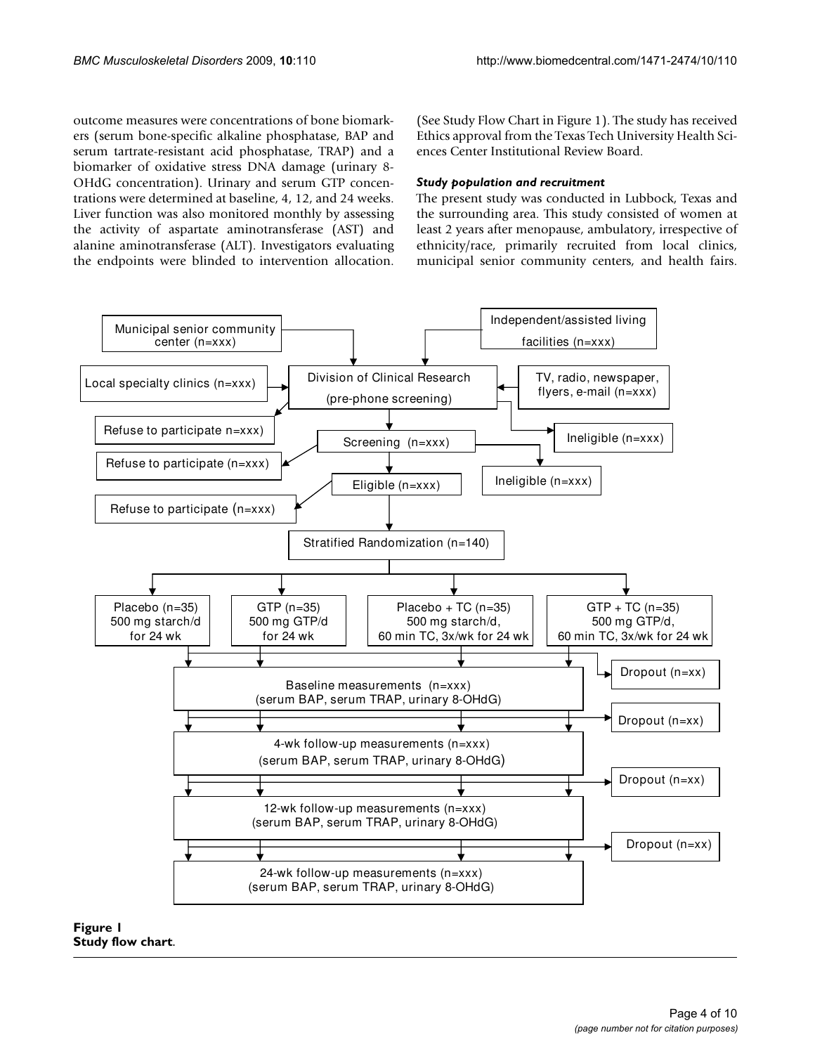outcome measures were concentrations of bone biomarkers (serum bone-specific alkaline phosphatase, BAP and serum tartrate-resistant acid phosphatase, TRAP) and a biomarker of oxidative stress DNA damage (urinary 8- OHdG concentration). Urinary and serum GTP concentrations were determined at baseline, 4, 12, and 24 weeks. Liver function was also monitored monthly by assessing the activity of aspartate aminotransferase (AST) and alanine aminotransferase (ALT). Investigators evaluating the endpoints were blinded to intervention allocation. (See Study Flow Chart in Figure [1](#page-3-0)). The study has received Ethics approval from the Texas Tech University Health Sciences Center Institutional Review Board.

#### *Study population and recruitment*

The present study was conducted in Lubbock, Texas and the surrounding area. This study consisted of women at least 2 years after menopause, ambulatory, irrespective of ethnicity/race, primarily recruited from local clinics, municipal senior community centers, and health fairs.

<span id="page-3-0"></span>

**Figure 1 Study flow chart**.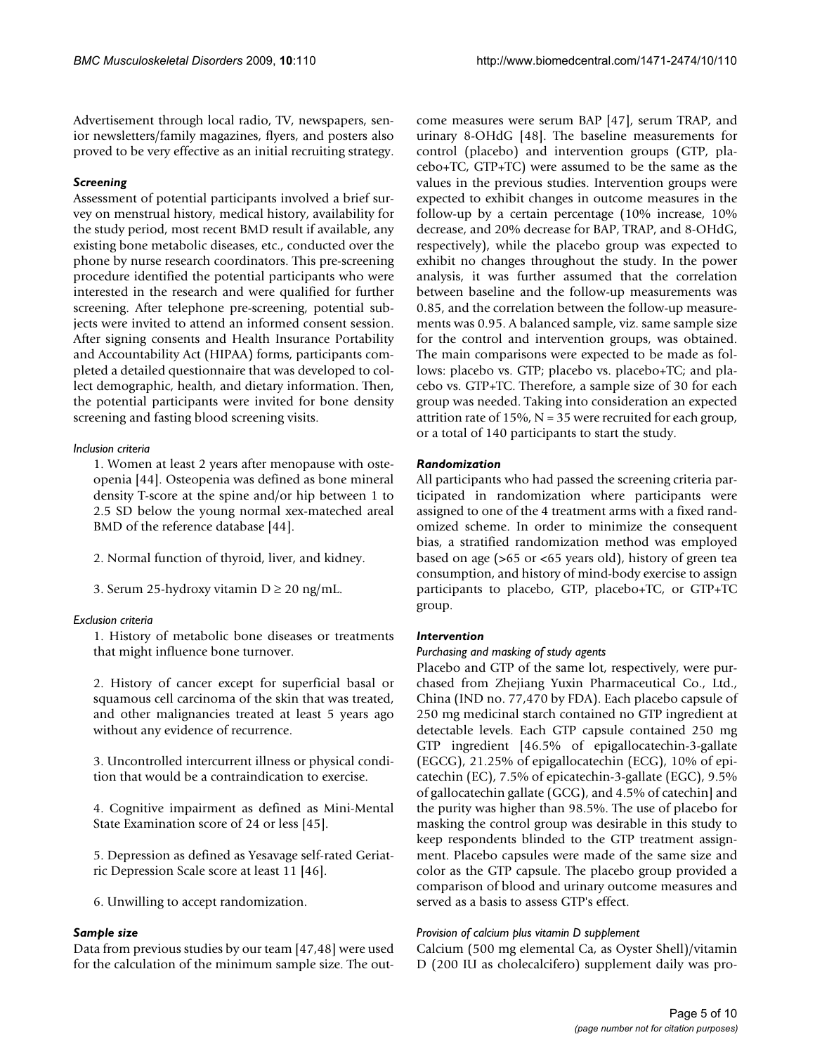Advertisement through local radio, TV, newspapers, senior newsletters/family magazines, flyers, and posters also proved to be very effective as an initial recruiting strategy.

# *Screening*

Assessment of potential participants involved a brief survey on menstrual history, medical history, availability for the study period, most recent BMD result if available, any existing bone metabolic diseases, etc., conducted over the phone by nurse research coordinators. This pre-screening procedure identified the potential participants who were interested in the research and were qualified for further screening. After telephone pre-screening, potential subjects were invited to attend an informed consent session. After signing consents and Health Insurance Portability and Accountability Act (HIPAA) forms, participants completed a detailed questionnaire that was developed to collect demographic, health, and dietary information. Then, the potential participants were invited for bone density screening and fasting blood screening visits.

# *Inclusion criteria*

1. Women at least 2 years after menopause with osteopenia [\[44\]](#page-8-23). Osteopenia was defined as bone mineral density T-score at the spine and/or hip between 1 to 2.5 SD below the young normal xex-mateched areal BMD of the reference database [[44](#page-8-23)].

- 2. Normal function of thyroid, liver, and kidney.
- 3. Serum 25-hydroxy vitamin  $D \ge 20$  ng/mL.

#### *Exclusion criteria*

1. History of metabolic bone diseases or treatments that might influence bone turnover.

2. History of cancer except for superficial basal or squamous cell carcinoma of the skin that was treated, and other malignancies treated at least 5 years ago without any evidence of recurrence.

3. Uncontrolled intercurrent illness or physical condition that would be a contraindication to exercise.

4. Cognitive impairment as defined as Mini-Mental State Examination score of 24 or less [\[45](#page-8-24)].

5. Depression as defined as Yesavage self-rated Geriatric Depression Scale score at least 11 [\[46\]](#page-8-25).

6. Unwilling to accept randomization.

#### *Sample size*

Data from previous studies by our team [\[47,](#page-8-26)[48](#page-8-27)] were used for the calculation of the minimum sample size. The outcome measures were serum BAP [\[47](#page-8-26)], serum TRAP, and urinary 8-OHdG [[48\]](#page-8-27). The baseline measurements for control (placebo) and intervention groups (GTP, placebo+TC, GTP+TC) were assumed to be the same as the values in the previous studies. Intervention groups were expected to exhibit changes in outcome measures in the follow-up by a certain percentage (10% increase, 10% decrease, and 20% decrease for BAP, TRAP, and 8-OHdG, respectively), while the placebo group was expected to exhibit no changes throughout the study. In the power analysis, it was further assumed that the correlation between baseline and the follow-up measurements was 0.85, and the correlation between the follow-up measurements was 0.95. A balanced sample, viz. same sample size for the control and intervention groups, was obtained. The main comparisons were expected to be made as follows: placebo vs. GTP; placebo vs. placebo+TC; and placebo vs. GTP+TC. Therefore, a sample size of 30 for each group was needed. Taking into consideration an expected attrition rate of 15%,  $N = 35$  were recruited for each group, or a total of 140 participants to start the study.

# *Randomization*

All participants who had passed the screening criteria participated in randomization where participants were assigned to one of the 4 treatment arms with a fixed randomized scheme. In order to minimize the consequent bias, a stratified randomization method was employed based on age (>65 or <65 years old), history of green tea consumption, and history of mind-body exercise to assign participants to placebo, GTP, placebo+TC, or GTP+TC group.

# *Intervention*

#### *Purchasing and masking of study agents*

Placebo and GTP of the same lot, respectively, were purchased from Zhejiang Yuxin Pharmaceutical Co., Ltd., China (IND no. 77,470 by FDA). Each placebo capsule of 250 mg medicinal starch contained no GTP ingredient at detectable levels. Each GTP capsule contained 250 mg GTP ingredient [46.5% of epigallocatechin-3-gallate (EGCG), 21.25% of epigallocatechin (ECG), 10% of epicatechin (EC), 7.5% of epicatechin-3-gallate (EGC), 9.5% of gallocatechin gallate (GCG), and 4.5% of catechin] and the purity was higher than 98.5%. The use of placebo for masking the control group was desirable in this study to keep respondents blinded to the GTP treatment assignment. Placebo capsules were made of the same size and color as the GTP capsule. The placebo group provided a comparison of blood and urinary outcome measures and served as a basis to assess GTP's effect.

#### *Provision of calcium plus vitamin D supplement*

Calcium (500 mg elemental Ca, as Oyster Shell)/vitamin D (200 IU as cholecalcifero) supplement daily was pro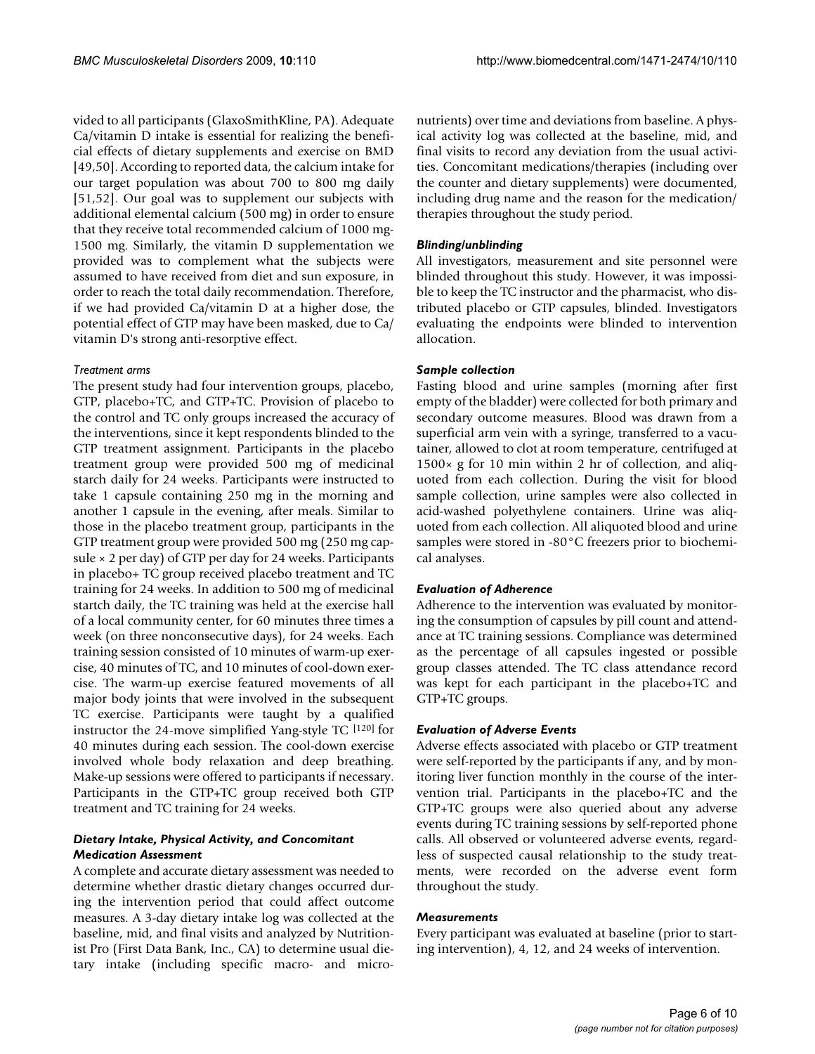vided to all participants (GlaxoSmithKline, PA). Adequate Ca/vitamin D intake is essential for realizing the beneficial effects of dietary supplements and exercise on BMD [[49](#page-8-28),[50\]](#page-8-29). According to reported data, the calcium intake for our target population was about 700 to 800 mg daily [[51](#page-8-30),[52\]](#page-8-31). Our goal was to supplement our subjects with additional elemental calcium (500 mg) in order to ensure that they receive total recommended calcium of 1000 mg-1500 mg. Similarly, the vitamin D supplementation we provided was to complement what the subjects were assumed to have received from diet and sun exposure, in order to reach the total daily recommendation. Therefore, if we had provided Ca/vitamin D at a higher dose, the potential effect of GTP may have been masked, due to Ca/ vitamin D's strong anti-resorptive effect.

#### *Treatment arms*

The present study had four intervention groups, placebo, GTP, placebo+TC, and GTP+TC. Provision of placebo to the control and TC only groups increased the accuracy of the interventions, since it kept respondents blinded to the GTP treatment assignment. Participants in the placebo treatment group were provided 500 mg of medicinal starch daily for 24 weeks. Participants were instructed to take 1 capsule containing 250 mg in the morning and another 1 capsule in the evening, after meals. Similar to those in the placebo treatment group, participants in the GTP treatment group were provided 500 mg (250 mg capsule × 2 per day) of GTP per day for 24 weeks. Participants in placebo+ TC group received placebo treatment and TC training for 24 weeks. In addition to 500 mg of medicinal startch daily, the TC training was held at the exercise hall of a local community center, for 60 minutes three times a week (on three nonconsecutive days), for 24 weeks. Each training session consisted of 10 minutes of warm-up exercise, 40 minutes of TC, and 10 minutes of cool-down exercise. The warm-up exercise featured movements of all major body joints that were involved in the subsequent TC exercise. Participants were taught by a qualified instructor the 24-move simplified Yang-style TC [120] for 40 minutes during each session. The cool-down exercise involved whole body relaxation and deep breathing. Make-up sessions were offered to participants if necessary. Participants in the GTP+TC group received both GTP treatment and TC training for 24 weeks.

# *Dietary Intake, Physical Activity, and Concomitant Medication Assessment*

A complete and accurate dietary assessment was needed to determine whether drastic dietary changes occurred during the intervention period that could affect outcome measures. A 3-day dietary intake log was collected at the baseline, mid, and final visits and analyzed by Nutritionist Pro (First Data Bank, Inc., CA) to determine usual dietary intake (including specific macro- and micronutrients) over time and deviations from baseline. A physical activity log was collected at the baseline, mid, and final visits to record any deviation from the usual activities. Concomitant medications/therapies (including over the counter and dietary supplements) were documented, including drug name and the reason for the medication/ therapies throughout the study period.

#### *Blinding/unblinding*

All investigators, measurement and site personnel were blinded throughout this study. However, it was impossible to keep the TC instructor and the pharmacist, who distributed placebo or GTP capsules, blinded. Investigators evaluating the endpoints were blinded to intervention allocation.

#### *Sample collection*

Fasting blood and urine samples (morning after first empty of the bladder) were collected for both primary and secondary outcome measures. Blood was drawn from a superficial arm vein with a syringe, transferred to a vacutainer, allowed to clot at room temperature, centrifuged at  $1500\times$  g for 10 min within 2 hr of collection, and aliquoted from each collection. During the visit for blood sample collection, urine samples were also collected in acid-washed polyethylene containers. Urine was aliquoted from each collection. All aliquoted blood and urine samples were stored in -80°C freezers prior to biochemical analyses.

#### *Evaluation of Adherence*

Adherence to the intervention was evaluated by monitoring the consumption of capsules by pill count and attendance at TC training sessions. Compliance was determined as the percentage of all capsules ingested or possible group classes attended. The TC class attendance record was kept for each participant in the placebo+TC and GTP+TC groups.

#### *Evaluation of Adverse Events*

Adverse effects associated with placebo or GTP treatment were self-reported by the participants if any, and by monitoring liver function monthly in the course of the intervention trial. Participants in the placebo+TC and the GTP+TC groups were also queried about any adverse events during TC training sessions by self-reported phone calls. All observed or volunteered adverse events, regardless of suspected causal relationship to the study treatments, were recorded on the adverse event form throughout the study.

#### *Measurements*

Every participant was evaluated at baseline (prior to starting intervention), 4, 12, and 24 weeks of intervention.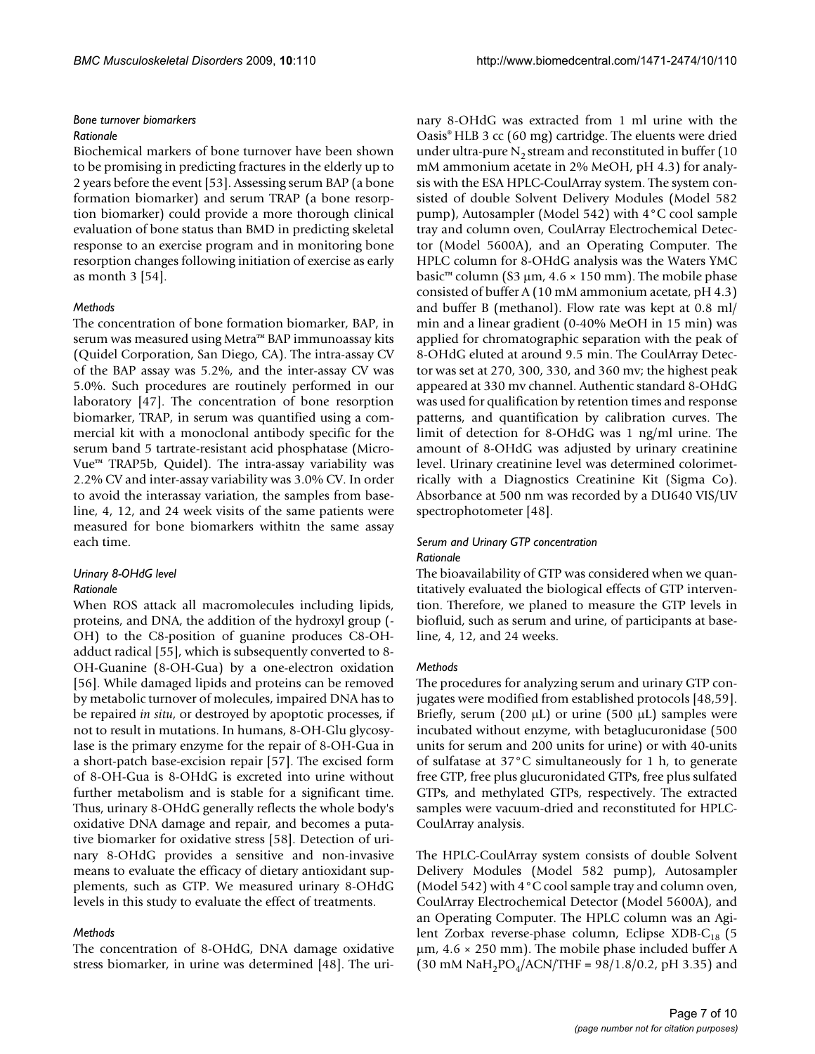#### *Bone turnover biomarkers*

#### *Rationale*

Biochemical markers of bone turnover have been shown to be promising in predicting fractures in the elderly up to 2 years before the event [\[53\]](#page-8-32). Assessing serum BAP (a bone formation biomarker) and serum TRAP (a bone resorption biomarker) could provide a more thorough clinical evaluation of bone status than BMD in predicting skeletal response to an exercise program and in monitoring bone resorption changes following initiation of exercise as early as month 3 [[54\]](#page-8-33).

#### *Methods*

The concentration of bone formation biomarker, BAP, in serum was measured using Metra™ BAP immunoassay kits (Quidel Corporation, San Diego, CA). The intra-assay CV of the BAP assay was 5.2%, and the inter-assay CV was 5.0%. Such procedures are routinely performed in our laboratory [\[47\]](#page-8-26). The concentration of bone resorption biomarker, TRAP, in serum was quantified using a commercial kit with a monoclonal antibody specific for the serum band 5 tartrate-resistant acid phosphatase (Micro-Vue™ TRAP5b, Quidel). The intra-assay variability was 2.2% CV and inter-assay variability was 3.0% CV. In order to avoid the interassay variation, the samples from baseline, 4, 12, and 24 week visits of the same patients were measured for bone biomarkers withitn the same assay each time.

# *Urinary 8-OHdG level*

#### *Rationale*

When ROS attack all macromolecules including lipids, proteins, and DNA, the addition of the hydroxyl group (- OH) to the C8-position of guanine produces C8-OHadduct radical [[55\]](#page-8-34), which is subsequently converted to 8- OH-Guanine (8-OH-Gua) by a one-electron oxidation [[56](#page-8-35)]. While damaged lipids and proteins can be removed by metabolic turnover of molecules, impaired DNA has to be repaired *in situ*, or destroyed by apoptotic processes, if not to result in mutations. In humans, 8-OH-Glu glycosylase is the primary enzyme for the repair of 8-OH-Gua in a short-patch base-excision repair [[57\]](#page-8-36). The excised form of 8-OH-Gua is 8-OHdG is excreted into urine without further metabolism and is stable for a significant time. Thus, urinary 8-OHdG generally reflects the whole body's oxidative DNA damage and repair, and becomes a putative biomarker for oxidative stress [\[58](#page-9-0)]. Detection of urinary 8-OHdG provides a sensitive and non-invasive means to evaluate the efficacy of dietary antioxidant supplements, such as GTP. We measured urinary 8-OHdG levels in this study to evaluate the effect of treatments.

#### *Methods*

The concentration of 8-OHdG, DNA damage oxidative stress biomarker, in urine was determined [\[48](#page-8-27)]. The urinary 8-OHdG was extracted from 1 ml urine with the Oasis® HLB 3 cc (60 mg) cartridge. The eluents were dried under ultra-pure  $N<sub>2</sub>$  stream and reconstituted in buffer (10 mM ammonium acetate in 2% MeOH, pH 4.3) for analysis with the ESA HPLC-CoulArray system. The system consisted of double Solvent Delivery Modules (Model 582 pump), Autosampler (Model 542) with 4°C cool sample tray and column oven, CoulArray Electrochemical Detector (Model 5600A), and an Operating Computer. The HPLC column for 8-OHdG analysis was the Waters YMC basic<sup>™</sup> column (S3 µm,  $4.6 \times 150$  mm). The mobile phase consisted of buffer A (10 mM ammonium acetate, pH 4.3) and buffer B (methanol). Flow rate was kept at 0.8 ml/ min and a linear gradient (0-40% MeOH in 15 min) was applied for chromatographic separation with the peak of 8-OHdG eluted at around 9.5 min. The CoulArray Detector was set at 270, 300, 330, and 360 mv; the highest peak appeared at 330 mv channel. Authentic standard 8-OHdG was used for qualification by retention times and response patterns, and quantification by calibration curves. The limit of detection for 8-OHdG was 1 ng/ml urine. The amount of 8-OHdG was adjusted by urinary creatinine level. Urinary creatinine level was determined colorimetrically with a Diagnostics Creatinine Kit (Sigma Co). Absorbance at 500 nm was recorded by a DU640 VIS/UV spectrophotometer [[48\]](#page-8-27).

#### *Serum and Urinary GTP concentration Rationale*

The bioavailability of GTP was considered when we quantitatively evaluated the biological effects of GTP intervention. Therefore, we planed to measure the GTP levels in biofluid, such as serum and urine, of participants at baseline, 4, 12, and 24 weeks.

#### *Methods*

The procedures for analyzing serum and urinary GTP conjugates were modified from established protocols [[48,](#page-8-27)[59](#page-9-1)]. Briefly, serum (200  $\mu$ L) or urine (500  $\mu$ L) samples were incubated without enzyme, with betaglucuronidase (500 units for serum and 200 units for urine) or with 40-units of sulfatase at 37°C simultaneously for 1 h, to generate free GTP, free plus glucuronidated GTPs, free plus sulfated GTPs, and methylated GTPs, respectively. The extracted samples were vacuum-dried and reconstituted for HPLC-CoulArray analysis.

The HPLC-CoulArray system consists of double Solvent Delivery Modules (Model 582 pump), Autosampler (Model 542) with 4°C cool sample tray and column oven, CoulArray Electrochemical Detector (Model 5600A), and an Operating Computer. The HPLC column was an Agilent Zorbax reverse-phase column, Eclipse XDB-C<sub>18</sub> (5 μm, 4.6 × 250 mm). The mobile phase included buffer A  $(30 \text{ mM } \text{NaH}_2\text{PO}_4/\text{ACN}/\text{THF} = 98/1.8/0.2$ , pH 3.35) and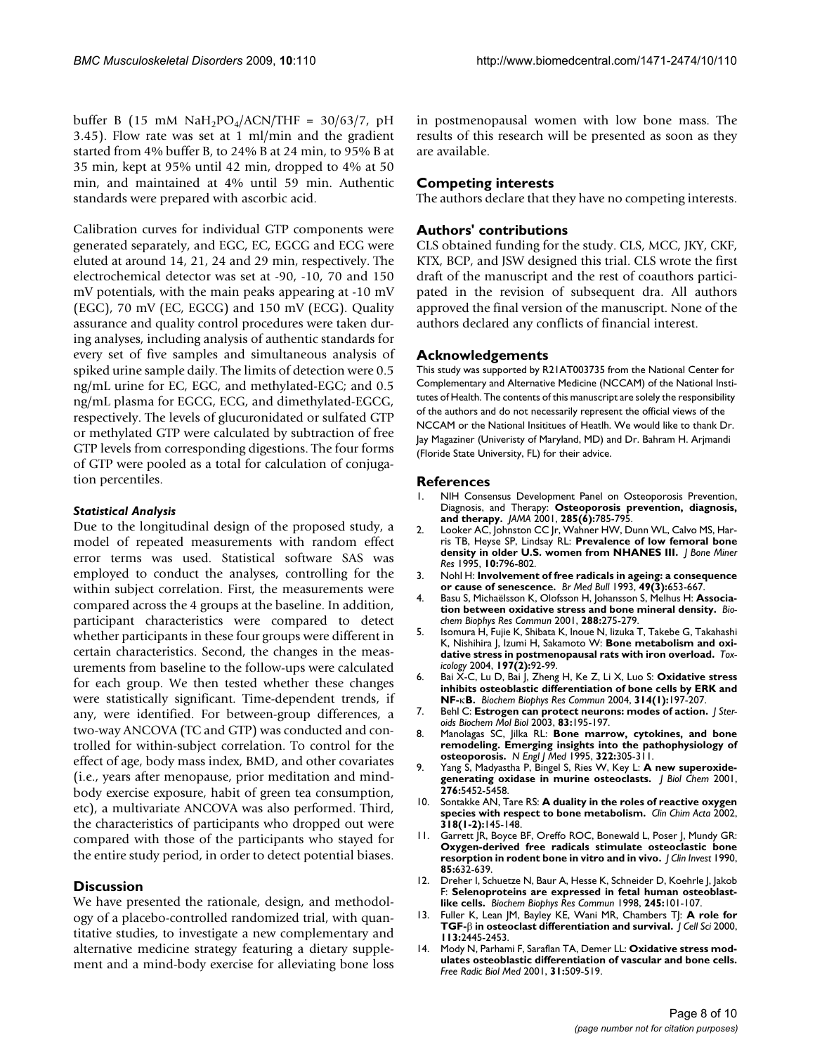buffer B (15 mM  $NaH<sub>2</sub>PO<sub>4</sub>/ACN/THF = 30/63/7$ , pH 3.45). Flow rate was set at 1 ml/min and the gradient started from 4% buffer B, to 24% B at 24 min, to 95% B at 35 min, kept at 95% until 42 min, dropped to 4% at 50 min, and maintained at 4% until 59 min. Authentic standards were prepared with ascorbic acid.

Calibration curves for individual GTP components were generated separately, and EGC, EC, EGCG and ECG were eluted at around 14, 21, 24 and 29 min, respectively. The electrochemical detector was set at -90, -10, 70 and 150 mV potentials, with the main peaks appearing at -10 mV (EGC), 70 mV (EC, EGCG) and 150 mV (ECG). Quality assurance and quality control procedures were taken during analyses, including analysis of authentic standards for every set of five samples and simultaneous analysis of spiked urine sample daily. The limits of detection were 0.5 ng/mL urine for EC, EGC, and methylated-EGC; and 0.5 ng/mL plasma for EGCG, ECG, and dimethylated-EGCG, respectively. The levels of glucuronidated or sulfated GTP or methylated GTP were calculated by subtraction of free GTP levels from corresponding digestions. The four forms of GTP were pooled as a total for calculation of conjugation percentiles.

# *Statistical Analysis*

Due to the longitudinal design of the proposed study, a model of repeated measurements with random effect error terms was used. Statistical software SAS was employed to conduct the analyses, controlling for the within subject correlation. First, the measurements were compared across the 4 groups at the baseline. In addition, participant characteristics were compared to detect whether participants in these four groups were different in certain characteristics. Second, the changes in the measurements from baseline to the follow-ups were calculated for each group. We then tested whether these changes were statistically significant. Time-dependent trends, if any, were identified. For between-group differences, a two-way ANCOVA (TC and GTP) was conducted and controlled for within-subject correlation. To control for the effect of age, body mass index, BMD, and other covariates (i.e., years after menopause, prior meditation and mindbody exercise exposure, habit of green tea consumption, etc), a multivariate ANCOVA was also performed. Third, the characteristics of participants who dropped out were compared with those of the participants who stayed for the entire study period, in order to detect potential biases.

# **Discussion**

We have presented the rationale, design, and methodology of a placebo-controlled randomized trial, with quantitative studies, to investigate a new complementary and alternative medicine strategy featuring a dietary supplement and a mind-body exercise for alleviating bone loss in postmenopausal women with low bone mass. The results of this research will be presented as soon as they are available.

# **Competing interests**

The authors declare that they have no competing interests.

# **Authors' contributions**

CLS obtained funding for the study. CLS, MCC, JKY, CKF, KTX, BCP, and JSW designed this trial. CLS wrote the first draft of the manuscript and the rest of coauthors participated in the revision of subsequent dra. All authors approved the final version of the manuscript. None of the authors declared any conflicts of financial interest.

# **Acknowledgements**

This study was supported by R21AT003735 from the National Center for Complementary and Alternative Medicine (NCCAM) of the National Institutes of Health. The contents of this manuscript are solely the responsibility of the authors and do not necessarily represent the official views of the NCCAM or the National Insititues of Heatlh. We would like to thank Dr. Jay Magaziner (Univeristy of Maryland, MD) and Dr. Bahram H. Arjmandi (Floride State University, FL) for their advice.

#### **References**

- <span id="page-7-0"></span>1. NIH Consensus Development Panel on Osteoporosis Prevention, Diagnosis, and Therapy: **[Osteoporosis prevention, diagnosis,](http://www.ncbi.nlm.nih.gov/entrez/query.fcgi?cmd=Retrieve&db=PubMed&dopt=Abstract&list_uids=11176917) [and therapy.](http://www.ncbi.nlm.nih.gov/entrez/query.fcgi?cmd=Retrieve&db=PubMed&dopt=Abstract&list_uids=11176917)** *JAMA* 2001, **285(6):**785-795.
- <span id="page-7-1"></span>2. Looker AC, Johnston CC Jr, Wahner HW, Dunn WL, Calvo MS, Harris TB, Heyse SP, Lindsay RL: **[Prevalence of low femoral bone](http://www.ncbi.nlm.nih.gov/entrez/query.fcgi?cmd=Retrieve&db=PubMed&dopt=Abstract&list_uids=7639115) [density in older U.S. women from NHANES III.](http://www.ncbi.nlm.nih.gov/entrez/query.fcgi?cmd=Retrieve&db=PubMed&dopt=Abstract&list_uids=7639115)** *J Bone Miner Res* 1995, **10:**796-802.
- <span id="page-7-2"></span>3. Nohl H: **[Involvement of free radicals in ageing: a consequence](http://www.ncbi.nlm.nih.gov/entrez/query.fcgi?cmd=Retrieve&db=PubMed&dopt=Abstract&list_uids=8221030) [or cause of senescence.](http://www.ncbi.nlm.nih.gov/entrez/query.fcgi?cmd=Retrieve&db=PubMed&dopt=Abstract&list_uids=8221030)** *Br Med Bull* 1993, **49(3):**653-667.
- <span id="page-7-3"></span>4. Basu S, Michaëlsson K, Olofsson H, Johansson S, Melhus H: **[Associa](http://www.ncbi.nlm.nih.gov/entrez/query.fcgi?cmd=Retrieve&db=PubMed&dopt=Abstract&list_uids=11594785)[tion between oxidative stress and bone mineral density.](http://www.ncbi.nlm.nih.gov/entrez/query.fcgi?cmd=Retrieve&db=PubMed&dopt=Abstract&list_uids=11594785)** *Biochem Biophys Res Commun* 2001, **288:**275-279.
- 5. Isomura H, Fujie K, Shibata K, Inoue N, Iizuka T, Takebe G, Takahashi K, Nishihira J, Izumi H, Sakamoto W: **Bone metabolism and oxidative stress in postmenopausal rats with iron overload.** *Toxicology* 2004, **197(2):**92-99.
- <span id="page-7-4"></span>6. Bai X-C, Lu D, Bai J, Zheng H, Ke Z, Li X, Luo S: **Oxidative stress inhibits osteoblastic differentiation of bone cells by ERK and NF-**κ**[B.](http://www.ncbi.nlm.nih.gov/entrez/query.fcgi?cmd=Retrieve&db=PubMed&dopt=Abstract&list_uids=14715266)** *Biochem Biophys Res Commun* 2004, **314(1):**197-207.
- <span id="page-7-5"></span>7. Behl C: **Estrogen can protect neurons: modes of action.** *J Steroids Biochem Mol Biol* 2003, **83:**195-197.
- <span id="page-7-6"></span>8. Manolagas SC, Jilka RL: **Bone marrow, cytokines, and bone remodeling. Emerging insights into the pathophysiology of osteoporosis.** *N Engl J Med* 1995, **322:**305-311.
- <span id="page-7-7"></span>9. Yang S, Madyastha P, Bingel S, Ries W, Key L: **[A new superoxide](http://www.ncbi.nlm.nih.gov/entrez/query.fcgi?cmd=Retrieve&db=PubMed&dopt=Abstract&list_uids=11098048)[generating oxidase in murine osteoclasts.](http://www.ncbi.nlm.nih.gov/entrez/query.fcgi?cmd=Retrieve&db=PubMed&dopt=Abstract&list_uids=11098048)** *J Biol Chem* 2001, **276:**5452-5458.
- <span id="page-7-8"></span>10. Sontakke AN, Tare RS: **[A duality in the roles of reactive oxygen](http://www.ncbi.nlm.nih.gov/entrez/query.fcgi?cmd=Retrieve&db=PubMed&dopt=Abstract&list_uids=11880125) [species with respect to bone metabolism.](http://www.ncbi.nlm.nih.gov/entrez/query.fcgi?cmd=Retrieve&db=PubMed&dopt=Abstract&list_uids=11880125)** *Clin Chim Acta* 2002, **318(1-2):**145-148.
- <span id="page-7-9"></span>11. Garrett JR, Boyce BF, Oreffo ROC, Bonewald L, Poser J, Mundy GR: **[Oxygen-derived free radicals stimulate osteoclastic bone](http://www.ncbi.nlm.nih.gov/entrez/query.fcgi?cmd=Retrieve&db=PubMed&dopt=Abstract&list_uids=2312718) [resorption in rodent bone in vitro and in vivo.](http://www.ncbi.nlm.nih.gov/entrez/query.fcgi?cmd=Retrieve&db=PubMed&dopt=Abstract&list_uids=2312718)** *J Clin Invest* 1990, **85:**632-639.
- <span id="page-7-10"></span>12. Dreher I, Schuetze N, Baur A, Hesse K, Schneider D, Koehrle J, Jakob F: **[Selenoproteins are expressed in fetal human osteoblast](http://www.ncbi.nlm.nih.gov/entrez/query.fcgi?cmd=Retrieve&db=PubMed&dopt=Abstract&list_uids=9535791)[like cells.](http://www.ncbi.nlm.nih.gov/entrez/query.fcgi?cmd=Retrieve&db=PubMed&dopt=Abstract&list_uids=9535791)** *Biochem Biophys Res Commun* 1998, **245:**101-107.
- <span id="page-7-11"></span>13. Fuller K, Lean JM, Bayley KE, Wani MR, Chambers TJ: **A role for TGF-**β **[in osteoclast differentiation and survival.](http://www.ncbi.nlm.nih.gov/entrez/query.fcgi?cmd=Retrieve&db=PubMed&dopt=Abstract&list_uids=10852823)** *J Cell Sci* 2000, **113:**2445-2453.
- <span id="page-7-12"></span>14. Mody N, Parhami F, Saraflan TA, Demer LL: **[Oxidative stress mod](http://www.ncbi.nlm.nih.gov/entrez/query.fcgi?cmd=Retrieve&db=PubMed&dopt=Abstract&list_uids=11498284)[ulates osteoblastic differentiation of vascular and bone cells.](http://www.ncbi.nlm.nih.gov/entrez/query.fcgi?cmd=Retrieve&db=PubMed&dopt=Abstract&list_uids=11498284)** *Free Radic Biol Med* 2001, **31:**509-519.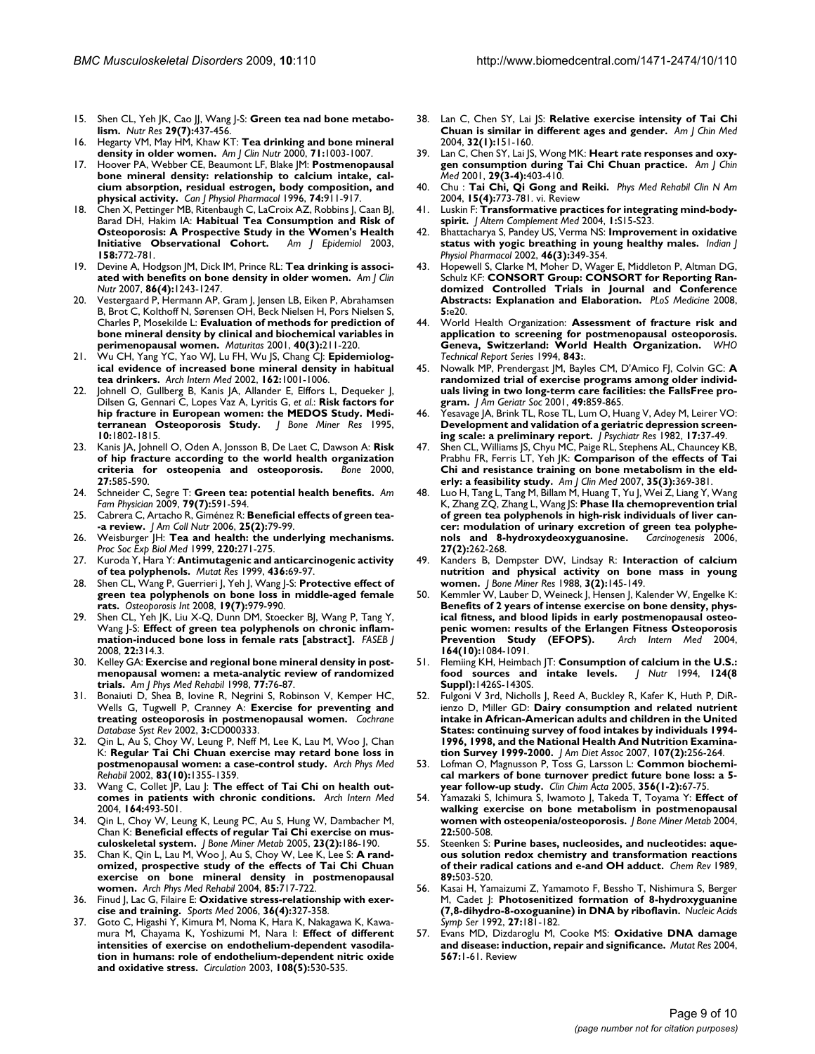- <span id="page-8-0"></span>15. Shen CL, Yeh JK, Cao JJ, Wang J-S: **[Green tea nad bone metabo](http://www.ncbi.nlm.nih.gov/entrez/query.fcgi?cmd=Retrieve&db=PubMed&dopt=Abstract&list_uids=19700031)[lism.](http://www.ncbi.nlm.nih.gov/entrez/query.fcgi?cmd=Retrieve&db=PubMed&dopt=Abstract&list_uids=19700031)** *Nutr Res* **29(7):**437-456.
- <span id="page-8-1"></span>16. Hegarty VM, May HM, Khaw KT: [Tea drinking and bone mineral](http://www.ncbi.nlm.nih.gov/entrez/query.fcgi?cmd=Retrieve&db=PubMed&dopt=Abstract&list_uids=10731510) **[density in older women.](http://www.ncbi.nlm.nih.gov/entrez/query.fcgi?cmd=Retrieve&db=PubMed&dopt=Abstract&list_uids=10731510)** *Am J Clin Nutr* 2000, **71:**1003-1007.
- 17. Hoover PA, Webber CE, Beaumont LF, Blake JM: **[Postmenopausal](http://www.ncbi.nlm.nih.gov/entrez/query.fcgi?cmd=Retrieve&db=PubMed&dopt=Abstract&list_uids=8960380) [bone mineral density: relationship to calcium intake, cal](http://www.ncbi.nlm.nih.gov/entrez/query.fcgi?cmd=Retrieve&db=PubMed&dopt=Abstract&list_uids=8960380)cium absorption, residual estrogen, body composition, and [physical activity.](http://www.ncbi.nlm.nih.gov/entrez/query.fcgi?cmd=Retrieve&db=PubMed&dopt=Abstract&list_uids=8960380)** *Can J Physiol Pharmacol* 1996, **74:**911-917.
- 18. Chen X, Pettinger MB, Ritenbaugh C, LaCroix AZ, Robbins J, Caan BJ, Barad DH, Hakim IA: **[Habitual Tea Consumption and Risk of](http://www.ncbi.nlm.nih.gov/entrez/query.fcgi?cmd=Retrieve&db=PubMed&dopt=Abstract&list_uids=14561667) [Osteoporosis: A Prospective Study in the Women's Health](http://www.ncbi.nlm.nih.gov/entrez/query.fcgi?cmd=Retrieve&db=PubMed&dopt=Abstract&list_uids=14561667) Initiative Observational Cohort.** Am | Epidemiol 2003, **[Initiative Observational Cohort.](http://www.ncbi.nlm.nih.gov/entrez/query.fcgi?cmd=Retrieve&db=PubMed&dopt=Abstract&list_uids=14561667) 158:**772-781.
- 19. Devine A, Hodgson JM, Dick IM, Prince RL: **[Tea drinking is associ](http://www.ncbi.nlm.nih.gov/entrez/query.fcgi?cmd=Retrieve&db=PubMed&dopt=Abstract&list_uids=17921409)[ated with benefits on bone density in older women.](http://www.ncbi.nlm.nih.gov/entrez/query.fcgi?cmd=Retrieve&db=PubMed&dopt=Abstract&list_uids=17921409)** *Am J Clin Nutr* 2007, **86(4):**1243-1247.
- 20. Vestergaard P, Hermann AP, Gram J, Jensen LB, Eiken P, Abrahamsen B, Brot C, Kolthoff N, Sørensen OH, Beck Nielsen H, Pors Nielsen S, Charles P, Mosekilde L: **[Evaluation of methods for prediction of](http://www.ncbi.nlm.nih.gov/entrez/query.fcgi?cmd=Retrieve&db=PubMed&dopt=Abstract&list_uids=11731182) [bone mineral density by clinical and biochemical variables in](http://www.ncbi.nlm.nih.gov/entrez/query.fcgi?cmd=Retrieve&db=PubMed&dopt=Abstract&list_uids=11731182) [perimenopausal women.](http://www.ncbi.nlm.nih.gov/entrez/query.fcgi?cmd=Retrieve&db=PubMed&dopt=Abstract&list_uids=11731182)** *Maturitas* 2001, **40(3):**211-220.
- <span id="page-8-2"></span>21. Wu CH, Yang YC, Yao WJ, Lu FH, Wu JS, Chang CJ: **[Epidemiolog](http://www.ncbi.nlm.nih.gov/entrez/query.fcgi?cmd=Retrieve&db=PubMed&dopt=Abstract&list_uids=11996609)[ical evidence of increased bone mineral density in habitual](http://www.ncbi.nlm.nih.gov/entrez/query.fcgi?cmd=Retrieve&db=PubMed&dopt=Abstract&list_uids=11996609) [tea drinkers.](http://www.ncbi.nlm.nih.gov/entrez/query.fcgi?cmd=Retrieve&db=PubMed&dopt=Abstract&list_uids=11996609)** *Arch Intern Med* 2002, **162:**1001-1006.
- <span id="page-8-3"></span>22. Johnell O, Gullberg B, Kanis JA, Allander E, Elffors L, Dequeker J, Dilsen G, Gennari C, Lopes Vaz A, Lyritis G, *et al.*: **[Risk factors for](http://www.ncbi.nlm.nih.gov/entrez/query.fcgi?cmd=Retrieve&db=PubMed&dopt=Abstract&list_uids=8592959) [hip fracture in European women: the MEDOS Study. Medi](http://www.ncbi.nlm.nih.gov/entrez/query.fcgi?cmd=Retrieve&db=PubMed&dopt=Abstract&list_uids=8592959)[terranean Osteoporosis Study.](http://www.ncbi.nlm.nih.gov/entrez/query.fcgi?cmd=Retrieve&db=PubMed&dopt=Abstract&list_uids=8592959)** *J Bone Miner Res* 1995, **10:**1802-1815.
- <span id="page-8-4"></span>23. Kanis JA, Johnell O, Oden A, Jonsson B, De Laet C, Dawson A: **[Risk](http://www.ncbi.nlm.nih.gov/entrez/query.fcgi?cmd=Retrieve&db=PubMed&dopt=Abstract&list_uids=11062343) [of hip fracture according to the world health organization](http://www.ncbi.nlm.nih.gov/entrez/query.fcgi?cmd=Retrieve&db=PubMed&dopt=Abstract&list_uids=11062343) [criteria for osteopenia and osteoporosis.](http://www.ncbi.nlm.nih.gov/entrez/query.fcgi?cmd=Retrieve&db=PubMed&dopt=Abstract&list_uids=11062343)** *Bone* 2000, **27:**585-590.
- <span id="page-8-5"></span>24. Schneider C, Segre T: **[Green tea: potential health benefits.](http://www.ncbi.nlm.nih.gov/entrez/query.fcgi?cmd=Retrieve&db=PubMed&dopt=Abstract&list_uids=19378876)** *Am Fam Physician* 2009, **79(7):**591-594.
- <span id="page-8-6"></span>25. Cabrera C, Artacho R, Giménez R: **[Beneficial effects of green tea-](http://www.ncbi.nlm.nih.gov/entrez/query.fcgi?cmd=Retrieve&db=PubMed&dopt=Abstract&list_uids=16582024) [-a review.](http://www.ncbi.nlm.nih.gov/entrez/query.fcgi?cmd=Retrieve&db=PubMed&dopt=Abstract&list_uids=16582024)** *J Am Coll Nutr* 2006, **25(2):**79-99.
- <span id="page-8-7"></span>26. Weisburger JH: **[Tea and health: the underlying mechanisms.](http://www.ncbi.nlm.nih.gov/entrez/query.fcgi?cmd=Retrieve&db=PubMed&dopt=Abstract&list_uids=10202402)** *Proc Soc Exp Biol Med* 1999, **220:**271-275.
- <span id="page-8-8"></span>27. Kuroda Y, Hara Y: **[Antimutagenic and anticarcinogenic activity](http://www.ncbi.nlm.nih.gov/entrez/query.fcgi?cmd=Retrieve&db=PubMed&dopt=Abstract&list_uids=9878691) [of tea polyphenols.](http://www.ncbi.nlm.nih.gov/entrez/query.fcgi?cmd=Retrieve&db=PubMed&dopt=Abstract&list_uids=9878691)** *Mutat Res* 1999, **436:**69-97.
- <span id="page-8-9"></span>28. Shen CL, Wang P, Guerrieri J, Yeh J, Wang J-S: **Protective effect of green tea polyphenols on bone loss in middle-aged female rats.** *Osteoporosis Int* 2008, **19(7):**979-990.
- <span id="page-8-10"></span>29. Shen CL, Yeh JK, Liu X-Q, Dunn DM, Stoecker BJ, Wang P, Tang Y, Wang J-S: **Effect of green tea polyphenols on chronic inflammation-induced bone loss in female rats [abstract].** *FASEB J* 2008, **22:**314.3.
- <span id="page-8-11"></span>30. Kelley GA: **[Exercise and regional bone mineral density in post](http://www.ncbi.nlm.nih.gov/entrez/query.fcgi?cmd=Retrieve&db=PubMed&dopt=Abstract&list_uids=9482383)[menopausal women: a meta-analytic review of randomized](http://www.ncbi.nlm.nih.gov/entrez/query.fcgi?cmd=Retrieve&db=PubMed&dopt=Abstract&list_uids=9482383) [trials.](http://www.ncbi.nlm.nih.gov/entrez/query.fcgi?cmd=Retrieve&db=PubMed&dopt=Abstract&list_uids=9482383)** *Am J Phys Med Rehabil* 1998, **77:**76-87.
- 31. Bonaiuti D, Shea B, Iovine R, Negrini S, Robinson V, Kemper HC, Wells G, Tugwell P, Cranney A: **[Exercise for preventing and](http://www.ncbi.nlm.nih.gov/entrez/query.fcgi?cmd=Retrieve&db=PubMed&dopt=Abstract&list_uids=12137611) [treating osteoporosis in postmenopausal women.](http://www.ncbi.nlm.nih.gov/entrez/query.fcgi?cmd=Retrieve&db=PubMed&dopt=Abstract&list_uids=12137611)** *Cochrane Database Syst Rev* 2002, **3:**CD000333.
- <span id="page-8-12"></span>32. Qin L, Au S, Choy W, Leung P, Neff M, Lee K, Lau M, Woo J, Chan K: **[Regular Tai Chi Chuan exercise may retard bone loss in](http://www.ncbi.nlm.nih.gov/entrez/query.fcgi?cmd=Retrieve&db=PubMed&dopt=Abstract&list_uids=12370867) [postmenopausal women: a case-control study.](http://www.ncbi.nlm.nih.gov/entrez/query.fcgi?cmd=Retrieve&db=PubMed&dopt=Abstract&list_uids=12370867)** *Arch Phys Med Rehabil* 2002, **83(10):**1355-1359.
- 33. Wang C, Collet JP, Lau J: **[The effect of Tai Chi on health out](http://www.ncbi.nlm.nih.gov/entrez/query.fcgi?cmd=Retrieve&db=PubMed&dopt=Abstract&list_uids=15006825)[comes in patients with chronic conditions.](http://www.ncbi.nlm.nih.gov/entrez/query.fcgi?cmd=Retrieve&db=PubMed&dopt=Abstract&list_uids=15006825)** *Arch Intern Med* 2004, **164:**493-501.
- <span id="page-8-14"></span>Qin L, Choy W, Leung K, Leung PC, Au S, Hung W, Dambacher M, Chan K: **[Beneficial effects of regular Tai Chi exercise on mus](http://www.ncbi.nlm.nih.gov/entrez/query.fcgi?cmd=Retrieve&db=PubMed&dopt=Abstract&list_uids=15750699)[culoskeletal system.](http://www.ncbi.nlm.nih.gov/entrez/query.fcgi?cmd=Retrieve&db=PubMed&dopt=Abstract&list_uids=15750699)** *J Bone Miner Metab* 2005, **23(2):**186-190.
- <span id="page-8-13"></span>35. Chan K, Qin L, Lau M, Woo J, Au S, Choy W, Lee K, Lee S: **[A rand](http://www.ncbi.nlm.nih.gov/entrez/query.fcgi?cmd=Retrieve&db=PubMed&dopt=Abstract&list_uids=15129394)[omized, prospective study of the effects of Tai Chi Chuan](http://www.ncbi.nlm.nih.gov/entrez/query.fcgi?cmd=Retrieve&db=PubMed&dopt=Abstract&list_uids=15129394) exercise on bone mineral density in postmenopausal [women.](http://www.ncbi.nlm.nih.gov/entrez/query.fcgi?cmd=Retrieve&db=PubMed&dopt=Abstract&list_uids=15129394)** *Arch Phys Med Rehabil* 2004, **85:**717-722.
- <span id="page-8-15"></span>36. Finud J, Lac G, Filaire E: **[Oxidative stress-relationship with exer](http://www.ncbi.nlm.nih.gov/entrez/query.fcgi?cmd=Retrieve&db=PubMed&dopt=Abstract&list_uids=16573358)[cise and training.](http://www.ncbi.nlm.nih.gov/entrez/query.fcgi?cmd=Retrieve&db=PubMed&dopt=Abstract&list_uids=16573358)** *Sports Med* 2006, **36(4):**327-358.
- <span id="page-8-16"></span>37. Goto C, Higashi Y, Kimura M, Noma K, Hara K, Nakagawa K, Kawamura M, Chayama K, Yoshizumi M, Nara I: **[Effect of different](http://www.ncbi.nlm.nih.gov/entrez/query.fcgi?cmd=Retrieve&db=PubMed&dopt=Abstract&list_uids=12874192) [intensities of exercise on endothelium-dependent vasodila](http://www.ncbi.nlm.nih.gov/entrez/query.fcgi?cmd=Retrieve&db=PubMed&dopt=Abstract&list_uids=12874192)tion in humans: role of endothelium-dependent nitric oxide [and oxidative stress.](http://www.ncbi.nlm.nih.gov/entrez/query.fcgi?cmd=Retrieve&db=PubMed&dopt=Abstract&list_uids=12874192)** *Circulation* 2003, **108(5):**530-535.
- <span id="page-8-17"></span>38. Lan C, Chen SY, Lai JS: **[Relative exercise intensity of Tai Chi](http://www.ncbi.nlm.nih.gov/entrez/query.fcgi?cmd=Retrieve&db=PubMed&dopt=Abstract&list_uids=15154294) [Chuan is similar in different ages and gender.](http://www.ncbi.nlm.nih.gov/entrez/query.fcgi?cmd=Retrieve&db=PubMed&dopt=Abstract&list_uids=15154294)** *Am J Chin Med* 2004, **32(1):**151-160.
- <span id="page-8-18"></span>39. Lan C, Chen SY, Lai JS, Wong MK: **[Heart rate responses and oxy](http://www.ncbi.nlm.nih.gov/entrez/query.fcgi?cmd=Retrieve&db=PubMed&dopt=Abstract&list_uids=11789583)[gen consumption during Tai Chi Chuan practice.](http://www.ncbi.nlm.nih.gov/entrez/query.fcgi?cmd=Retrieve&db=PubMed&dopt=Abstract&list_uids=11789583)** *Am J Chin Med* 2001, **29(3-4):**403-410.
- <span id="page-8-19"></span>40. Chu : **[Tai Chi, Qi Gong and Reiki.](http://www.ncbi.nlm.nih.gov/entrez/query.fcgi?cmd=Retrieve&db=PubMed&dopt=Abstract&list_uids=15458751)** *Phys Med Rehabil Clin N Am* 2004, **15(4):**773-781. vi. Review
- <span id="page-8-20"></span>41. Luskin F: **Transformative practices for integrating mind-bodyspirit.** *J Altern Complement Med* 2004, **1:**S15-S23.
- <span id="page-8-21"></span>42. Bhattacharya S, Pandey US, Verma NS: **[Improvement in oxidative](http://www.ncbi.nlm.nih.gov/entrez/query.fcgi?cmd=Retrieve&db=PubMed&dopt=Abstract&list_uids=12613400) [status with yogic breathing in young healthy males.](http://www.ncbi.nlm.nih.gov/entrez/query.fcgi?cmd=Retrieve&db=PubMed&dopt=Abstract&list_uids=12613400)** *Indian J Physiol Pharmacol* 2002, **46(3):**349-354.
- <span id="page-8-22"></span>43. Hopewell S, Clarke M, Moher D, Wager E, Middleton P, Altman DG, Schulz KF: **[CONSORT Group: CONSORT for Reporting Ran](http://www.ncbi.nlm.nih.gov/entrez/query.fcgi?cmd=Retrieve&db=PubMed&dopt=Abstract&list_uids=18215107)[domized Controlled Trials in Journal and Conference](http://www.ncbi.nlm.nih.gov/entrez/query.fcgi?cmd=Retrieve&db=PubMed&dopt=Abstract&list_uids=18215107) [Abstracts: Explanation and Elaboration.](http://www.ncbi.nlm.nih.gov/entrez/query.fcgi?cmd=Retrieve&db=PubMed&dopt=Abstract&list_uids=18215107)** *PLoS Medicine* 2008, **5:**e20.
- <span id="page-8-23"></span>44. World Health Organization: **[Assessment of fracture risk and](http://www.ncbi.nlm.nih.gov/entrez/query.fcgi?cmd=Retrieve&db=PubMed&dopt=Abstract&list_uids=7941614) [application to screening for postmenopausal osteoporosis.](http://www.ncbi.nlm.nih.gov/entrez/query.fcgi?cmd=Retrieve&db=PubMed&dopt=Abstract&list_uids=7941614) [Geneva, Switzerland: World Health Organization.](http://www.ncbi.nlm.nih.gov/entrez/query.fcgi?cmd=Retrieve&db=PubMed&dopt=Abstract&list_uids=7941614)** *WHO Technical Report Series* 1994, **843:**.
- <span id="page-8-24"></span>45. Nowalk MP, Prendergast JM, Bayles CM, D'Amico FJ, Colvin GC: **[A](http://www.ncbi.nlm.nih.gov/entrez/query.fcgi?cmd=Retrieve&db=PubMed&dopt=Abstract&list_uids=11527475) [randomized trial of exercise programs among older individ](http://www.ncbi.nlm.nih.gov/entrez/query.fcgi?cmd=Retrieve&db=PubMed&dopt=Abstract&list_uids=11527475)uals living in two long-term care facilities: the FallsFree pro[gram.](http://www.ncbi.nlm.nih.gov/entrez/query.fcgi?cmd=Retrieve&db=PubMed&dopt=Abstract&list_uids=11527475)** *J Am Geriatr Soc* 2001, **49:**859-865.
- <span id="page-8-25"></span>46. Yesavage JA, Brink TL, Rose TL, Lum O, Huang V, Adey M, Leirer VO: **[Development and validation of a geriatric depression screen](http://www.ncbi.nlm.nih.gov/entrez/query.fcgi?cmd=Retrieve&db=PubMed&dopt=Abstract&list_uids=7183759)[ing scale: a preliminary report.](http://www.ncbi.nlm.nih.gov/entrez/query.fcgi?cmd=Retrieve&db=PubMed&dopt=Abstract&list_uids=7183759)** *J Psychiatr Res* 1982, **17:**37-49.
- <span id="page-8-26"></span>47. Shen CL, Williams JS, Chyu MC, Paige RL, Stephens AL, Chauncey KB, Prabhu FR, Ferris LT, Yeh JK: **Comparison of the effects of Tai Chi and resistance training on bone metabolism in the elderly: a feasibility study.** *Am J Clin Med* 2007, **35(3):**369-381.
- <span id="page-8-27"></span>48. Luo H, Tang L, Tang M, Billam M, Huang T, Yu J, Wei Z, Liang Y, Wang K, Zhang ZQ, Zhang L, Wang JS: **[Phase IIa chemoprevention trial](http://www.ncbi.nlm.nih.gov/entrez/query.fcgi?cmd=Retrieve&db=PubMed&dopt=Abstract&list_uids=15930028) [of green tea polyphenols in high-risk individuals of liver can](http://www.ncbi.nlm.nih.gov/entrez/query.fcgi?cmd=Retrieve&db=PubMed&dopt=Abstract&list_uids=15930028)cer: modulation of urinary excretion of green tea polyphe[nols and 8-hydroxydeoxyguanosine.](http://www.ncbi.nlm.nih.gov/entrez/query.fcgi?cmd=Retrieve&db=PubMed&dopt=Abstract&list_uids=15930028)** *Carcinogenesis* 2006, **27(2):**262-268.
- <span id="page-8-28"></span>49. Kanders B, Dempster DW, Lindsay R: **[Interaction of calcium](http://www.ncbi.nlm.nih.gov/entrez/query.fcgi?cmd=Retrieve&db=PubMed&dopt=Abstract&list_uids=3213609) [nutrition and physical activity on bone mass in young](http://www.ncbi.nlm.nih.gov/entrez/query.fcgi?cmd=Retrieve&db=PubMed&dopt=Abstract&list_uids=3213609) [women.](http://www.ncbi.nlm.nih.gov/entrez/query.fcgi?cmd=Retrieve&db=PubMed&dopt=Abstract&list_uids=3213609)** *J Bone Miner Res* 1988, **3(2):**145-149.
- <span id="page-8-29"></span>50. Kemmler W, Lauber D, Weineck J, Hensen J, Kalender W, Engelke K: **Benefits of 2 years of intense exercise on bone density, phys[ical fitness, and blood lipids in early postmenopausal osteo](http://www.ncbi.nlm.nih.gov/entrez/query.fcgi?cmd=Retrieve&db=PubMed&dopt=Abstract&list_uids=15159265)penic women: results of the Erlangen Fitness Osteoporosis [Prevention Study \(EFOPS\).](http://www.ncbi.nlm.nih.gov/entrez/query.fcgi?cmd=Retrieve&db=PubMed&dopt=Abstract&list_uids=15159265) 164(10):**1084-1091.
- <span id="page-8-30"></span>51. Flemiing KH, Heimbach JT: **[Consumption of calcium in the U.S.:](http://www.ncbi.nlm.nih.gov/entrez/query.fcgi?cmd=Retrieve&db=PubMed&dopt=Abstract&list_uids=8064396)**  $food$  sources and intake levels. **Suppl):**1426S-1430S.
- <span id="page-8-31"></span>52. Fulgoni V 3rd, Nicholls J, Reed A, Buckley R, Kafer K, Huth P, DiRienzo D, Miller GD: **[Dairy consumption and related nutrient](http://www.ncbi.nlm.nih.gov/entrez/query.fcgi?cmd=Retrieve&db=PubMed&dopt=Abstract&list_uids=17258962) [intake in African-American adults and children in the United](http://www.ncbi.nlm.nih.gov/entrez/query.fcgi?cmd=Retrieve&db=PubMed&dopt=Abstract&list_uids=17258962) States: continuing survey of food intakes by individuals 1994- 1996, 1998, and the National Health And Nutrition Examina[tion Survey 1999-2000.](http://www.ncbi.nlm.nih.gov/entrez/query.fcgi?cmd=Retrieve&db=PubMed&dopt=Abstract&list_uids=17258962)** *J Am Diet Assoc* 2007, **107(2):**256-264.
- <span id="page-8-32"></span>Lofman O, Magnusson P, Toss G, Larsson L: **[Common biochemi](http://www.ncbi.nlm.nih.gov/entrez/query.fcgi?cmd=Retrieve&db=PubMed&dopt=Abstract&list_uids=15936304)[cal markers of bone turnover predict future bone loss: a 5](http://www.ncbi.nlm.nih.gov/entrez/query.fcgi?cmd=Retrieve&db=PubMed&dopt=Abstract&list_uids=15936304) [year follow-up study.](http://www.ncbi.nlm.nih.gov/entrez/query.fcgi?cmd=Retrieve&db=PubMed&dopt=Abstract&list_uids=15936304)** *Clin Chim Acta* 2005, **356(1-2):**67-75.
- <span id="page-8-33"></span>54. Yamazaki S, Ichimura S, Iwamoto J, Takeda T, Toyama Y: **[Effect of](http://www.ncbi.nlm.nih.gov/entrez/query.fcgi?cmd=Retrieve&db=PubMed&dopt=Abstract&list_uids=15316873) [walking exercise on bone metabolism in postmenopausal](http://www.ncbi.nlm.nih.gov/entrez/query.fcgi?cmd=Retrieve&db=PubMed&dopt=Abstract&list_uids=15316873) [women with osteopenia/osteoporosis.](http://www.ncbi.nlm.nih.gov/entrez/query.fcgi?cmd=Retrieve&db=PubMed&dopt=Abstract&list_uids=15316873)** *J Bone Miner Metab* 2004, **22:**500-508.
- <span id="page-8-34"></span>55. Steenken S: **Purine bases, nucleosides, and nucleotides: aqueous solution redox chemistry and transformation reactions of their radical cations and e-and OH adduct.** *Chem Rev* 1989, **89:**503-520.
- <span id="page-8-35"></span>56. Kasai H, Yamaizumi Z, Yamamoto F, Bessho T, Nishimura S, Berger M, Cadet J: **[Photosenitized formation of 8-hydroxyguanine](http://www.ncbi.nlm.nih.gov/entrez/query.fcgi?cmd=Retrieve&db=PubMed&dopt=Abstract&list_uids=1289810) [\(7,8-dihydro-8-oxoguanine\) in DNA by riboflavin.](http://www.ncbi.nlm.nih.gov/entrez/query.fcgi?cmd=Retrieve&db=PubMed&dopt=Abstract&list_uids=1289810)** *Nucleic Acids Symp Ser* 1992, **27:**181-182.
- <span id="page-8-36"></span>57. Evans MD, Dizdaroglu M, Cooke MS: **[Oxidative DNA damage](http://www.ncbi.nlm.nih.gov/entrez/query.fcgi?cmd=Retrieve&db=PubMed&dopt=Abstract&list_uids=15341901) [and disease: induction, repair and significance.](http://www.ncbi.nlm.nih.gov/entrez/query.fcgi?cmd=Retrieve&db=PubMed&dopt=Abstract&list_uids=15341901)** *Mutat Res* 2004, **567:**1-61. Review